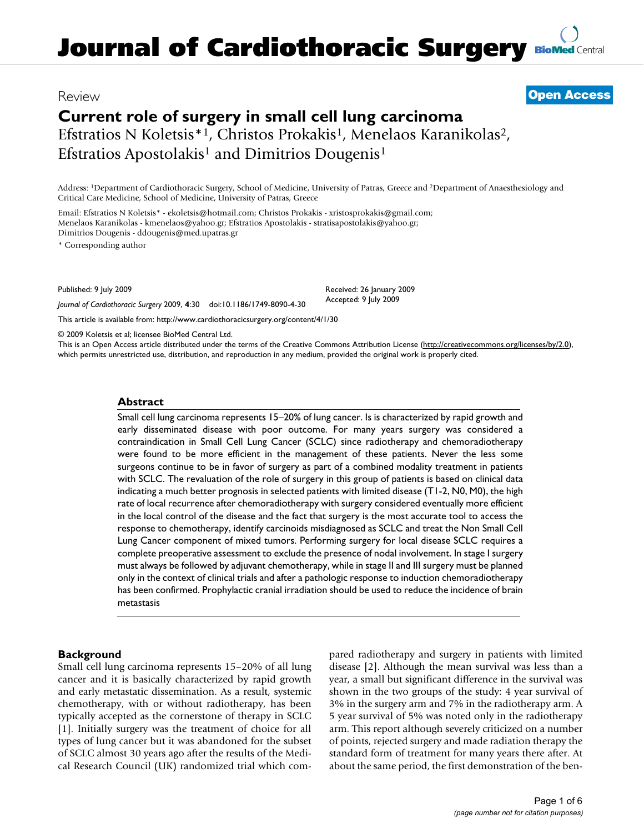## **Current role of surgery in small cell lung carcinoma** Efstratios N Koletsis<sup>\*1</sup>, Christos Prokakis<sup>1</sup>, Menelaos Karanikolas<sup>2</sup>,

Efstratios Apostolakis<sup>1</sup> and Dimitrios Dougenis<sup>1</sup>

Address: 1Department of Cardiothoracic Surgery, School of Medicine, University of Patras, Greece and 2Department of Anaesthesiology and Critical Care Medicine, School of Medicine, University of Patras, Greece

Email: Efstratios N Koletsis\* - ekoletsis@hotmail.com; Christos Prokakis - xristosprokakis@gmail.com; Menelaos Karanikolas - kmenelaos@yahoo.gr; Efstratios Apostolakis - stratisapostolakis@yahoo.gr; Dimitrios Dougenis - ddougenis@med.upatras.gr

\* Corresponding author

Published: 9 July 2009

*Journal of Cardiothoracic Surgery* 2009, **4**:30 doi:10.1186/1749-8090-4-30

[This article is available from: http://www.cardiothoracicsurgery.org/content/4/1/30](http://www.cardiothoracicsurgery.org/content/4/1/30)

© 2009 Koletsis et al; licensee BioMed Central Ltd.

This is an Open Access article distributed under the terms of the Creative Commons Attribution License [\(http://creativecommons.org/licenses/by/2.0\)](http://creativecommons.org/licenses/by/2.0), which permits unrestricted use, distribution, and reproduction in any medium, provided the original work is properly cited.

#### **Abstract**

Small cell lung carcinoma represents 15–20% of lung cancer. Is is characterized by rapid growth and early disseminated disease with poor outcome. For many years surgery was considered a contraindication in Small Cell Lung Cancer (SCLC) since radiotherapy and chemoradiotherapy were found to be more efficient in the management of these patients. Never the less some surgeons continue to be in favor of surgery as part of a combined modality treatment in patients with SCLC. The revaluation of the role of surgery in this group of patients is based on clinical data indicating a much better prognosis in selected patients with limited disease (T1-2, N0, M0), the high rate of local recurrence after chemoradiotherapy with surgery considered eventually more efficient in the local control of the disease and the fact that surgery is the most accurate tool to access the response to chemotherapy, identify carcinoids misdiagnosed as SCLC and treat the Non Small Cell Lung Cancer component of mixed tumors. Performing surgery for local disease SCLC requires a complete preoperative assessment to exclude the presence of nodal involvement. In stage I surgery must always be followed by adjuvant chemotherapy, while in stage II and III surgery must be planned only in the context of clinical trials and after a pathologic response to induction chemoradiotherapy has been confirmed. Prophylactic cranial irradiation should be used to reduce the incidence of brain metastasis

#### **Background**

Small cell lung carcinoma represents 15–20% of all lung cancer and it is basically characterized by rapid growth and early metastatic dissemination. As a result, systemic chemotherapy, with or without radiotherapy, has been typically accepted as the cornerstone of therapy in SCLC [1]. Initially surgery was the treatment of choice for all types of lung cancer but it was abandoned for the subset of SCLC almost 30 years ago after the results of the Medical Research Council (UK) randomized trial which compared radiotherapy and surgery in patients with limited disease [2]. Although the mean survival was less than a year, a small but significant difference in the survival was shown in the two groups of the study: 4 year survival of 3% in the surgery arm and 7% in the radiotherapy arm. A 5 year survival of 5% was noted only in the radiotherapy arm. This report although severely criticized on a number of points, rejected surgery and made radiation therapy the standard form of treatment for many years there after. At about the same period, the first demonstration of the ben-

# Review **[Open Access](http://www.biomedcentral.com/info/about/charter/)**

Received: 26 January 2009 Accepted: 9 July 2009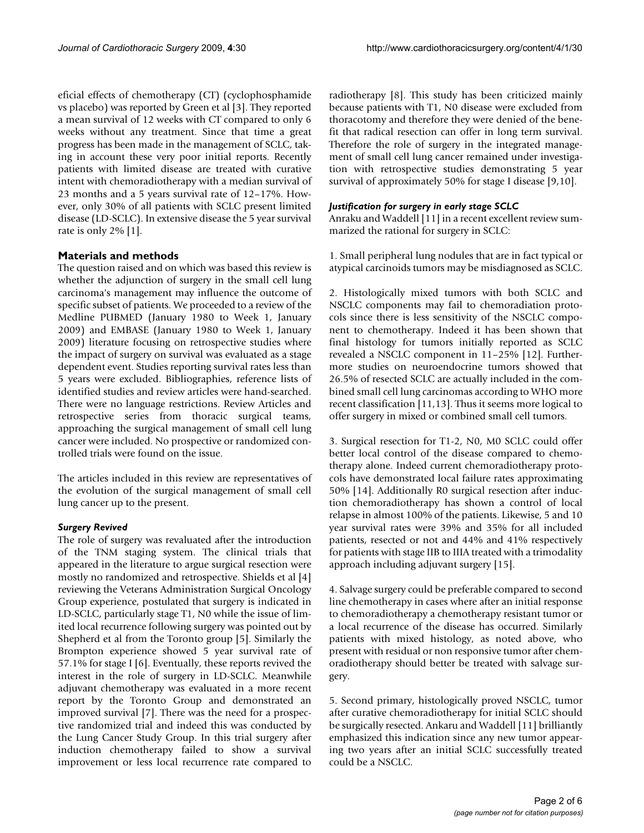eficial effects of chemotherapy (CT) (cyclophosphamide vs placebo) was reported by Green et al [3]. They reported a mean survival of 12 weeks with CT compared to only 6 weeks without any treatment. Since that time a great progress has been made in the management of SCLC, taking in account these very poor initial reports. Recently patients with limited disease are treated with curative intent with chemoradiotherapy with a median survival of 23 months and a 5 years survival rate of 12–17%. However, only 30% of all patients with SCLC present limited disease (LD-SCLC). In extensive disease the 5 year survival rate is only 2% [1].

## **Materials and methods**

The question raised and on which was based this review is whether the adjunction of surgery in the small cell lung carcinoma's management may influence the outcome of specific subset of patients. We proceeded to a review of the Medline PUBMED (January 1980 to Week 1, January 2009) and EMBASE (January 1980 to Week 1, January 2009) literature focusing on retrospective studies where the impact of surgery on survival was evaluated as a stage dependent event. Studies reporting survival rates less than 5 years were excluded. Bibliographies, reference lists of identified studies and review articles were hand-searched. There were no language restrictions. Review Articles and retrospective series from thoracic surgical teams, approaching the surgical management of small cell lung cancer were included. No prospective or randomized controlled trials were found on the issue.

The articles included in this review are representatives of the evolution of the surgical management of small cell lung cancer up to the present.

### *Surgery Revived*

The role of surgery was revaluated after the introduction of the TNM staging system. The clinical trials that appeared in the literature to argue surgical resection were mostly no randomized and retrospective. Shields et al [4] reviewing the Veterans Administration Surgical Oncology Group experience, postulated that surgery is indicated in LD-SCLC, particularly stage T1, N0 while the issue of limited local recurrence following surgery was pointed out by Shepherd et al from the Toronto group [5]. Similarly the Brompton experience showed 5 year survival rate of 57.1% for stage I [6]. Eventually, these reports revived the interest in the role of surgery in LD-SCLC. Meanwhile adjuvant chemotherapy was evaluated in a more recent report by the Toronto Group and demonstrated an improved survival [7]. There was the need for a prospective randomized trial and indeed this was conducted by the Lung Cancer Study Group. In this trial surgery after induction chemotherapy failed to show a survival improvement or less local recurrence rate compared to radiotherapy [8]. This study has been criticized mainly because patients with T1, N0 disease were excluded from thoracotomy and therefore they were denied of the benefit that radical resection can offer in long term survival. Therefore the role of surgery in the integrated management of small cell lung cancer remained under investigation with retrospective studies demonstrating 5 year survival of approximately 50% for stage I disease [9,10].

### *Justification for surgery in early stage SCLC*

Anraku and Waddell [11] in a recent excellent review summarized the rational for surgery in SCLC:

1. Small peripheral lung nodules that are in fact typical or atypical carcinoids tumors may be misdiagnosed as SCLC.

2. Histologically mixed tumors with both SCLC and NSCLC components may fail to chemoradiation protocols since there is less sensitivity of the NSCLC component to chemotherapy. Indeed it has been shown that final histology for tumors initially reported as SCLC revealed a NSCLC component in 11–25% [12]. Furthermore studies on neuroendocrine tumors showed that 26.5% of resected SCLC are actually included in the combined small cell lung carcinomas according to WHO more recent classification [11,13]. Thus it seems more logical to offer surgery in mixed or combined small cell tumors.

3. Surgical resection for T1-2, N0, M0 SCLC could offer better local control of the disease compared to chemotherapy alone. Indeed current chemoradiotherapy protocols have demonstrated local failure rates approximating 50% [14]. Additionally R0 surgical resection after induction chemoradiotherapy has shown a control of local relapse in almost 100% of the patients. Likewise, 5 and 10 year survival rates were 39% and 35% for all included patients, resected or not and 44% and 41% respectively for patients with stage IIB to IIIA treated with a trimodality approach including adjuvant surgery [15].

4. Salvage surgery could be preferable compared to second line chemotherapy in cases where after an initial response to chemoradiotherapy a chemotherapy resistant tumor or a local recurrence of the disease has occurred. Similarly patients with mixed histology, as noted above, who present with residual or non responsive tumor after chemoradiotherapy should better be treated with salvage surgery.

5. Second primary, histologically proved NSCLC, tumor after curative chemoradiotherapy for initial SCLC should be surgically resected. Ankaru and Waddell [11] brilliantly emphasized this indication since any new tumor appearing two years after an initial SCLC successfully treated could be a NSCLC.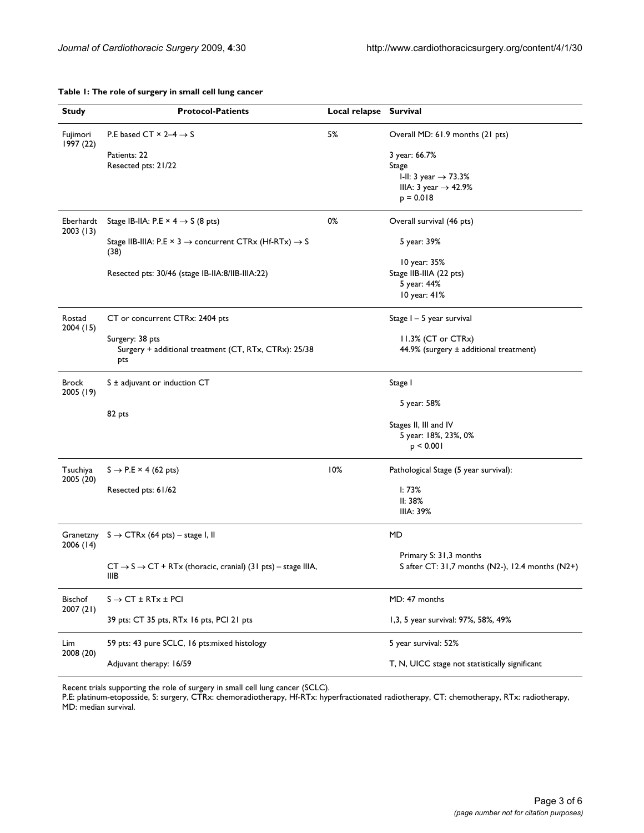| Table 1: The role of surgery in small cell lung cancer |  |
|--------------------------------------------------------|--|
|--------------------------------------------------------|--|

| <b>Study</b>          | <b>Protocol-Patients</b>                                                                      | Local relapse Survival |                                                  |
|-----------------------|-----------------------------------------------------------------------------------------------|------------------------|--------------------------------------------------|
|                       |                                                                                               |                        |                                                  |
| Fujimori<br>1997 (22) | P.E based CT $\times$ 2-4 $\rightarrow$ S                                                     | 5%                     | Overall MD: 61.9 months (21 pts)                 |
|                       | Patients: 22                                                                                  |                        | 3 year: 66.7%                                    |
|                       | Resected pts: 21/22                                                                           |                        | Stage                                            |
|                       |                                                                                               |                        | I-II: 3 year $\rightarrow$ 73.3%                 |
|                       |                                                                                               |                        | IIIA: 3 year $\rightarrow$ 42.9%                 |
|                       |                                                                                               |                        | $p = 0.018$                                      |
| Eberhardt<br>2003(13) | Stage IB-IIA: P.E $\times$ 4 $\rightarrow$ S (8 pts)                                          | 0%                     | Overall survival (46 pts)                        |
|                       | Stage IIB-IIIA: P.E $\times$ 3 $\rightarrow$ concurrent CTRx (Hf-RTx) $\rightarrow$ S<br>(38) |                        | 5 year: 39%                                      |
|                       |                                                                                               |                        | 10 year: 35%                                     |
|                       | Resected pts: 30/46 (stage IB-IIA:8/IIB-IIIA:22)                                              |                        | Stage IIB-IIIA (22 pts)                          |
|                       |                                                                                               |                        | 5 year: 44%<br>10 year: 41%                      |
|                       |                                                                                               |                        |                                                  |
| Rostad<br>2004 (15)   | CT or concurrent CTRx: 2404 pts                                                               |                        | Stage I - 5 year survival                        |
|                       | Surgery: 38 pts                                                                               |                        | 11.3% (CT or CTRx)                               |
|                       | Surgery + additional treatment (CT, RTx, CTRx): 25/38<br>pts                                  |                        | 44.9% (surgery $\pm$ additional treatment)       |
| Brock<br>2005 (19)    | $S \pm$ adjuvant or induction CT                                                              |                        | Stage I                                          |
|                       |                                                                                               |                        | 5 year: 58%                                      |
|                       | 82 pts                                                                                        |                        | Stages II, III and IV                            |
|                       |                                                                                               |                        | 5 year: 18%, 23%, 0%                             |
|                       |                                                                                               |                        | p < 0.001                                        |
| Tsuchiya              | $S \rightarrow P.E \times 4$ (62 pts)                                                         | 10%                    | Pathological Stage (5 year survival):            |
| 2005 (20)             | Resected pts: 61/62                                                                           |                        | 1:73%                                            |
|                       |                                                                                               |                        | II: 38%                                          |
|                       |                                                                                               |                        | IIIA: 39%                                        |
| 2006(14)              | Granetzny $S \rightarrow CTRx$ (64 pts) – stage I, II                                         |                        | MD                                               |
|                       |                                                                                               |                        | Primary S: 31,3 months                           |
|                       | $CT \rightarrow S \rightarrow CT + RTx$ (thoracic, cranial) (31 pts) - stage IIIA,<br>IIIB    |                        | S after CT: 31,7 months (N2-), 12.4 months (N2+) |
| Bischof<br>2007 (21)  | $S \rightarrow C T \pm RTx \pm PCI$                                                           |                        | MD: 47 months                                    |
|                       | 39 pts: CT 35 pts, RTx 16 pts, PCI 21 pts                                                     |                        | 1,3, 5 year survival: 97%, 58%, 49%              |
| Lim<br>2008 (20)      | 59 pts: 43 pure SCLC, 16 pts: mixed histology                                                 |                        | 5 year survival: 52%                             |
|                       | Adjuvant therapy: 16/59                                                                       |                        | T, N, UICC stage not statistically significant   |

Recent trials supporting the role of surgery in small cell lung cancer (SCLC).

P.E: platinum-etoposside, S: surgery, CTRx: chemoradiotherapy, Hf-RTx: hyperfractionated radiotherapy, CT: chemotherapy, RTx: radiotherapy, MD: median survival.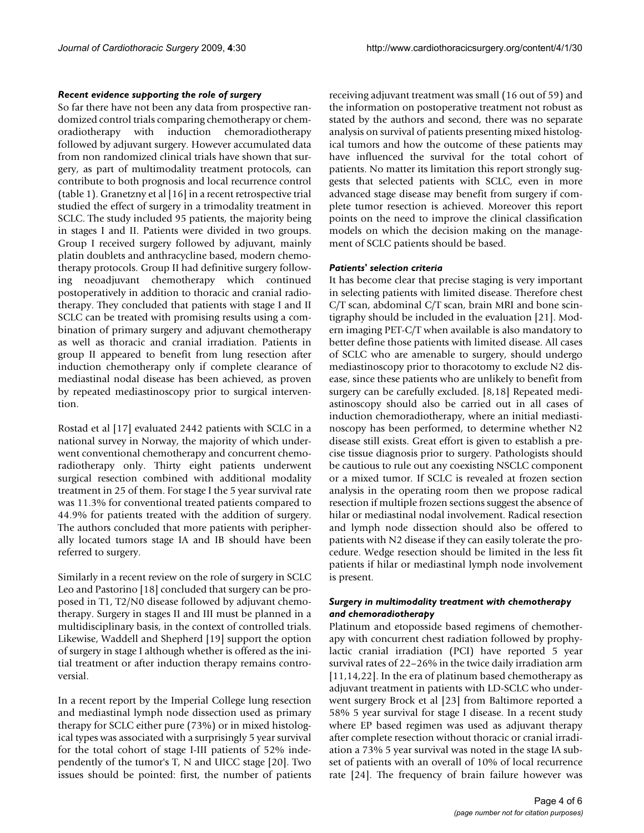#### *Recent evidence supporting the role of surgery*

So far there have not been any data from prospective randomized control trials comparing chemotherapy or chemoradiotherapy with induction chemoradiotherapy followed by adjuvant surgery. However accumulated data from non randomized clinical trials have shown that surgery, as part of multimodality treatment protocols, can contribute to both prognosis and local recurrence control (table 1). Granetzny et al [16] in a recent retrospective trial studied the effect of surgery in a trimodality treatment in SCLC. The study included 95 patients, the majority being in stages I and II. Patients were divided in two groups. Group I received surgery followed by adjuvant, mainly platin doublets and anthracycline based, modern chemotherapy protocols. Group II had definitive surgery following neoadjuvant chemotherapy which continued postoperatively in addition to thoracic and cranial radiotherapy. They concluded that patients with stage I and II SCLC can be treated with promising results using a combination of primary surgery and adjuvant chemotherapy as well as thoracic and cranial irradiation. Patients in group II appeared to benefit from lung resection after induction chemotherapy only if complete clearance of mediastinal nodal disease has been achieved, as proven by repeated mediastinoscopy prior to surgical intervention.

Rostad et al [17] evaluated 2442 patients with SCLC in a national survey in Norway, the majority of which underwent conventional chemotherapy and concurrent chemoradiotherapy only. Thirty eight patients underwent surgical resection combined with additional modality treatment in 25 of them. For stage I the 5 year survival rate was 11.3% for conventional treated patients compared to 44.9% for patients treated with the addition of surgery. The authors concluded that more patients with peripherally located tumors stage IA and IB should have been referred to surgery.

Similarly in a recent review on the role of surgery in SCLC Leo and Pastorino [18] concluded that surgery can be proposed in T1, T2/N0 disease followed by adjuvant chemotherapy. Surgery in stages II and III must be planned in a multidisciplinary basis, in the context of controlled trials. Likewise, Waddell and Shepherd [19] support the option of surgery in stage I although whether is offered as the initial treatment or after induction therapy remains controversial.

In a recent report by the Imperial College lung resection and mediastinal lymph node dissection used as primary therapy for SCLC either pure (73%) or in mixed histological types was associated with a surprisingly 5 year survival for the total cohort of stage I-III patients of 52% independently of the tumor's T, N and UICC stage [20]. Two issues should be pointed: first, the number of patients receiving adjuvant treatment was small (16 out of 59) and the information on postoperative treatment not robust as stated by the authors and second, there was no separate analysis on survival of patients presenting mixed histological tumors and how the outcome of these patients may have influenced the survival for the total cohort of patients. No matter its limitation this report strongly suggests that selected patients with SCLC, even in more advanced stage disease may benefit from surgery if complete tumor resection is achieved. Moreover this report points on the need to improve the clinical classification models on which the decision making on the management of SCLC patients should be based.

#### *Patients' selection criteria*

It has become clear that precise staging is very important in selecting patients with limited disease. Therefore chest C/T scan, abdominal C/T scan, brain MRI and bone scintigraphy should be included in the evaluation [21]. Modern imaging PET-C/T when available is also mandatory to better define those patients with limited disease. All cases of SCLC who are amenable to surgery, should undergo mediastinoscopy prior to thoracotomy to exclude N2 disease, since these patients who are unlikely to benefit from surgery can be carefully excluded. [8,18] Repeated mediastinoscopy should also be carried out in all cases of induction chemoradiotherapy, where an initial mediastinoscopy has been performed, to determine whether N2 disease still exists. Great effort is given to establish a precise tissue diagnosis prior to surgery. Pathologists should be cautious to rule out any coexisting NSCLC component or a mixed tumor. If SCLC is revealed at frozen section analysis in the operating room then we propose radical resection if multiple frozen sections suggest the absence of hilar or mediastinal nodal involvement. Radical resection and lymph node dissection should also be offered to patients with N2 disease if they can easily tolerate the procedure. Wedge resection should be limited in the less fit patients if hilar or mediastinal lymph node involvement is present.

#### *Surgery in multimodality treatment with chemotherapy and chemoradiotherapy*

Platinum and etoposside based regimens of chemotherapy with concurrent chest radiation followed by prophylactic cranial irradiation (PCI) have reported 5 year survival rates of 22–26% in the twice daily irradiation arm [11,14,22]. In the era of platinum based chemotherapy as adjuvant treatment in patients with LD-SCLC who underwent surgery Brock et al [23] from Baltimore reported a 58% 5 year survival for stage I disease. In a recent study where EP based regimen was used as adjuvant therapy after complete resection without thoracic or cranial irradiation a 73% 5 year survival was noted in the stage IA subset of patients with an overall of 10% of local recurrence rate [24]. The frequency of brain failure however was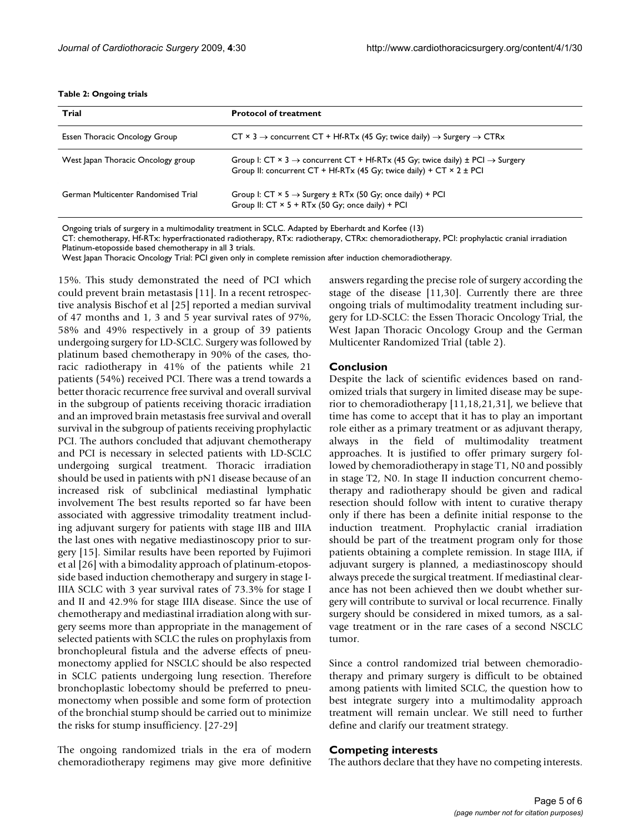#### **Table 2: Ongoing trials**

| Trial                               | <b>Protocol of treatment</b>                                                                                                                                                                         |
|-------------------------------------|------------------------------------------------------------------------------------------------------------------------------------------------------------------------------------------------------|
| Essen Thoracic Oncology Group       | CT $\times$ 3 $\rightarrow$ concurrent CT + Hf-RTx (45 Gy; twice daily) $\rightarrow$ Surgery $\rightarrow$ CTRx                                                                                     |
| West Japan Thoracic Oncology group  | Group I: $CT \times 3 \rightarrow$ concurrent $CT + Hf$ -RTx (45 Gy; twice daily) $\pm$ PCI $\rightarrow$ Surgery<br>Group II: concurrent $CT + Hf-RTx$ (45 Gy; twice daily) + $CT \times 2 \pm PCI$ |
| German Multicenter Randomised Trial | Group I: $CT \times 5 \rightarrow$ Surgery $\pm$ RTx (50 Gy; once daily) + PCI<br>Group II: $CT \times 5 + RT \times (50 \text{ Gy}; \text{ once daily}) + PCI$                                      |

Ongoing trials of surgery in a multimodality treatment in SCLC. Adapted by Eberhardt and Korfee (13)

CT: chemotherapy, Hf-RTx: hyperfractionated radiotherapy, RTx: radiotherapy, CTRx: chemoradiotherapy, PCI: prophylactic cranial irradiation Platinum-etoposside based chemotherapy in all 3 trials.

West Japan Thoracic Oncology Trial: PCI given only in complete remission after induction chemoradiotherapy.

15%. This study demonstrated the need of PCI which could prevent brain metastasis [11]. In a recent retrospective analysis Bischof et al [25] reported a median survival of 47 months and 1, 3 and 5 year survival rates of 97%, 58% and 49% respectively in a group of 39 patients undergoing surgery for LD-SCLC. Surgery was followed by platinum based chemotherapy in 90% of the cases, thoracic radiotherapy in 41% of the patients while 21 patients (54%) received PCI. There was a trend towards a better thoracic recurrence free survival and overall survival in the subgroup of patients receiving thoracic irradiation and an improved brain metastasis free survival and overall survival in the subgroup of patients receiving prophylactic PCI. The authors concluded that adjuvant chemotherapy and PCI is necessary in selected patients with LD-SCLC undergoing surgical treatment. Thoracic irradiation should be used in patients with pN1 disease because of an increased risk of subclinical mediastinal lymphatic involvement The best results reported so far have been associated with aggressive trimodality treatment including adjuvant surgery for patients with stage IIB and IIIA the last ones with negative mediastinoscopy prior to surgery [15]. Similar results have been reported by Fujimori et al [26] with a bimodality approach of platinum-etoposside based induction chemotherapy and surgery in stage I-IIIA SCLC with 3 year survival rates of 73.3% for stage I and II and 42.9% for stage IIIA disease. Since the use of chemotherapy and mediastinal irradiation along with surgery seems more than appropriate in the management of selected patients with SCLC the rules on prophylaxis from bronchopleural fistula and the adverse effects of pneumonectomy applied for NSCLC should be also respected in SCLC patients undergoing lung resection. Therefore bronchoplastic lobectomy should be preferred to pneumonectomy when possible and some form of protection of the bronchial stump should be carried out to minimize the risks for stump insufficiency. [27-29]

The ongoing randomized trials in the era of modern chemoradiotherapy regimens may give more definitive answers regarding the precise role of surgery according the stage of the disease [11,30]. Currently there are three ongoing trials of multimodality treatment including surgery for LD-SCLC: the Essen Thoracic Oncology Trial, the West Japan Thoracic Oncology Group and the German Multicenter Randomized Trial (table 2).

#### **Conclusion**

Despite the lack of scientific evidences based on randomized trials that surgery in limited disease may be superior to chemoradiotherapy [11,18,21,31], we believe that time has come to accept that it has to play an important role either as a primary treatment or as adjuvant therapy, always in the field of multimodality treatment approaches. It is justified to offer primary surgery followed by chemoradiotherapy in stage T1, N0 and possibly in stage T2, N0. In stage II induction concurrent chemotherapy and radiotherapy should be given and radical resection should follow with intent to curative therapy only if there has been a definite initial response to the induction treatment. Prophylactic cranial irradiation should be part of the treatment program only for those patients obtaining a complete remission. In stage IIIA, if adjuvant surgery is planned, a mediastinoscopy should always precede the surgical treatment. If mediastinal clearance has not been achieved then we doubt whether surgery will contribute to survival or local recurrence. Finally surgery should be considered in mixed tumors, as a salvage treatment or in the rare cases of a second NSCLC tumor.

Since a control randomized trial between chemoradiotherapy and primary surgery is difficult to be obtained among patients with limited SCLC, the question how to best integrate surgery into a multimodality approach treatment will remain unclear. We still need to further define and clarify our treatment strategy.

#### **Competing interests**

The authors declare that they have no competing interests.